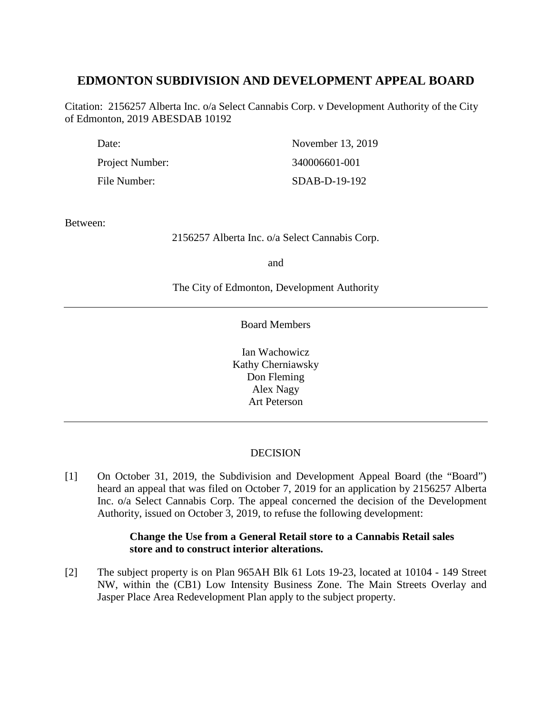# **EDMONTON SUBDIVISION AND DEVELOPMENT APPEAL BOARD**

Citation: 2156257 Alberta Inc. o/a Select Cannabis Corp. v Development Authority of the City of Edmonton, 2019 ABESDAB 10192

| Date:           | November 13, 2019 |
|-----------------|-------------------|
| Project Number: | 340006601-001     |
| File Number:    | SDAB-D-19-192     |

Between:

2156257 Alberta Inc. o/a Select Cannabis Corp.

and

The City of Edmonton, Development Authority

Board Members

Ian Wachowicz Kathy Cherniawsky Don Fleming Alex Nagy Art Peterson

## DECISION

[1] On October 31, 2019, the Subdivision and Development Appeal Board (the "Board") heard an appeal that was filed on October 7, 2019 for an application by 2156257 Alberta Inc. o/a Select Cannabis Corp. The appeal concerned the decision of the Development Authority, issued on October 3, 2019, to refuse the following development:

## **Change the Use from a General Retail store to a Cannabis Retail sales store and to construct interior alterations.**

[2] The subject property is on Plan 965AH Blk 61 Lots 19-23, located at 10104 - 149 Street NW, within the (CB1) Low Intensity Business Zone. The Main Streets Overlay and Jasper Place Area Redevelopment Plan apply to the subject property.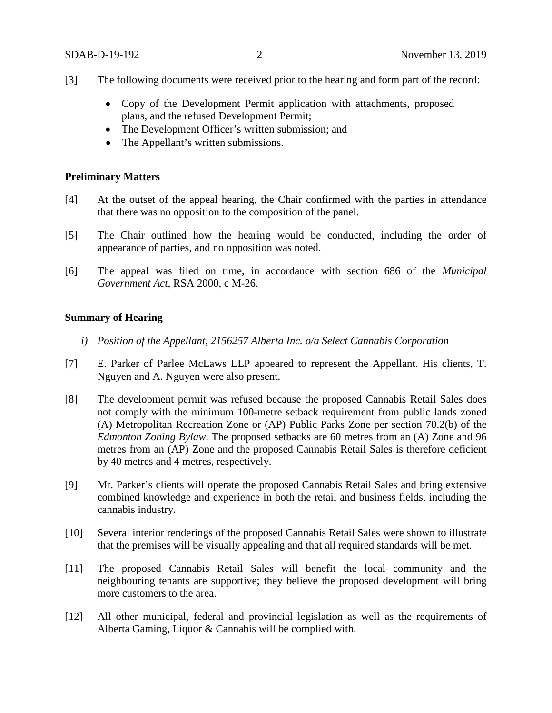- [3] The following documents were received prior to the hearing and form part of the record:
	- Copy of the Development Permit application with attachments, proposed plans, and the refused Development Permit;
	- The Development Officer's written submission; and
	- The Appellant's written submissions.

#### **Preliminary Matters**

- [4] At the outset of the appeal hearing, the Chair confirmed with the parties in attendance that there was no opposition to the composition of the panel.
- [5] The Chair outlined how the hearing would be conducted, including the order of appearance of parties, and no opposition was noted.
- [6] The appeal was filed on time, in accordance with section 686 of the *Municipal Government Act*, RSA 2000, c M-26.

## **Summary of Hearing**

- *i) Position of the Appellant, 2156257 Alberta Inc. o/a Select Cannabis Corporation*
- [7] E. Parker of Parlee McLaws LLP appeared to represent the Appellant. His clients, T. Nguyen and A. Nguyen were also present.
- [8] The development permit was refused because the proposed Cannabis Retail Sales does not comply with the minimum 100-metre setback requirement from public lands zoned (A) Metropolitan Recreation Zone or (AP) Public Parks Zone per section 70.2(b) of the *Edmonton Zoning Bylaw*. The proposed setbacks are 60 metres from an (A) Zone and 96 metres from an (AP) Zone and the proposed Cannabis Retail Sales is therefore deficient by 40 metres and 4 metres, respectively.
- [9] Mr. Parker's clients will operate the proposed Cannabis Retail Sales and bring extensive combined knowledge and experience in both the retail and business fields, including the cannabis industry.
- [10] Several interior renderings of the proposed Cannabis Retail Sales were shown to illustrate that the premises will be visually appealing and that all required standards will be met.
- [11] The proposed Cannabis Retail Sales will benefit the local community and the neighbouring tenants are supportive; they believe the proposed development will bring more customers to the area.
- [12] All other municipal, federal and provincial legislation as well as the requirements of Alberta Gaming, Liquor & Cannabis will be complied with.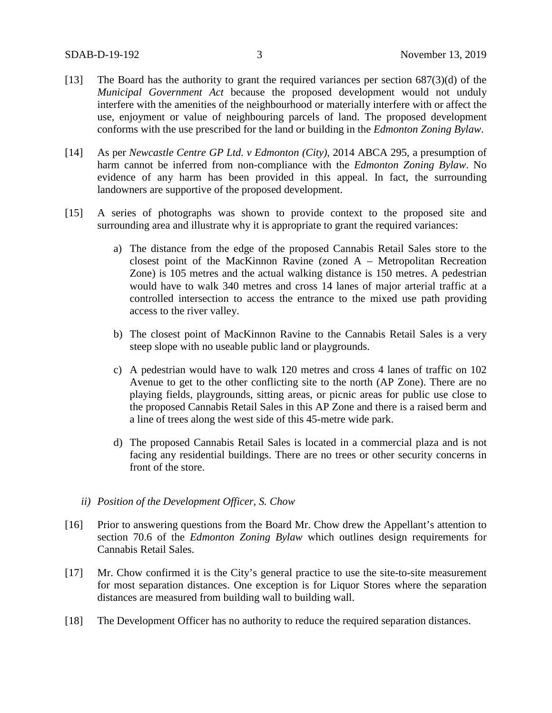- [13] The Board has the authority to grant the required variances per section  $687(3)(d)$  of the *Municipal Government Act* because the proposed development would not unduly interfere with the amenities of the neighbourhood or materially interfere with or affect the use, enjoyment or value of neighbouring parcels of land. The proposed development conforms with the use prescribed for the land or building in the *Edmonton Zoning Bylaw*.
- [14] As per *Newcastle Centre GP Ltd. v Edmonton (City)*, 2014 ABCA 295, a presumption of harm cannot be inferred from non-compliance with the *Edmonton Zoning Bylaw*. No evidence of any harm has been provided in this appeal. In fact, the surrounding landowners are supportive of the proposed development.
- [15] A series of photographs was shown to provide context to the proposed site and surrounding area and illustrate why it is appropriate to grant the required variances:
	- a) The distance from the edge of the proposed Cannabis Retail Sales store to the closest point of the MacKinnon Ravine (zoned A – Metropolitan Recreation Zone) is 105 metres and the actual walking distance is 150 metres. A pedestrian would have to walk 340 metres and cross 14 lanes of major arterial traffic at a controlled intersection to access the entrance to the mixed use path providing access to the river valley.
	- b) The closest point of MacKinnon Ravine to the Cannabis Retail Sales is a very steep slope with no useable public land or playgrounds.
	- c) A pedestrian would have to walk 120 metres and cross 4 lanes of traffic on 102 Avenue to get to the other conflicting site to the north (AP Zone). There are no playing fields, playgrounds, sitting areas, or picnic areas for public use close to the proposed Cannabis Retail Sales in this AP Zone and there is a raised berm and a line of trees along the west side of this 45-metre wide park.
	- d) The proposed Cannabis Retail Sales is located in a commercial plaza and is not facing any residential buildings. There are no trees or other security concerns in front of the store.
	- *ii) Position of the Development Officer, S. Chow*
- [16] Prior to answering questions from the Board Mr. Chow drew the Appellant's attention to section 70.6 of the *Edmonton Zoning Bylaw* which outlines design requirements for Cannabis Retail Sales.
- [17] Mr. Chow confirmed it is the City's general practice to use the site-to-site measurement for most separation distances. One exception is for Liquor Stores where the separation distances are measured from building wall to building wall.
- [18] The Development Officer has no authority to reduce the required separation distances.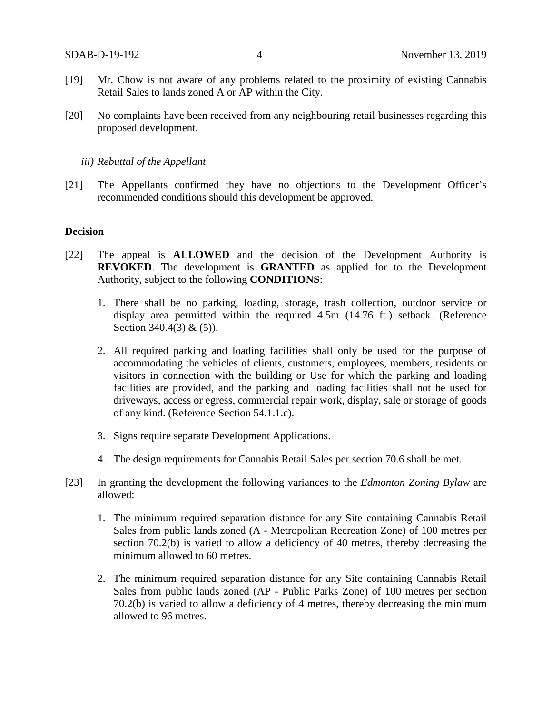- [19] Mr. Chow is not aware of any problems related to the proximity of existing Cannabis Retail Sales to lands zoned A or AP within the City.
- [20] No complaints have been received from any neighbouring retail businesses regarding this proposed development.

#### *iii) Rebuttal of the Appellant*

[21] The Appellants confirmed they have no objections to the Development Officer's recommended conditions should this development be approved.

#### **Decision**

- [22] The appeal is **ALLOWED** and the decision of the Development Authority is **REVOKED**. The development is **GRANTED** as applied for to the Development Authority, subject to the following **CONDITIONS**:
	- 1. There shall be no parking, loading, storage, trash collection, outdoor service or display area permitted within the required 4.5m (14.76 ft.) setback. (Reference Section 340.4(3) & (5)).
	- 2. All required parking and loading facilities shall only be used for the purpose of accommodating the vehicles of clients, customers, employees, members, residents or visitors in connection with the building or Use for which the parking and loading facilities are provided, and the parking and loading facilities shall not be used for driveways, access or egress, commercial repair work, display, sale or storage of goods of any kind. (Reference Section 54.1.1.c).
	- 3. Signs require separate Development Applications.
	- 4. The design requirements for Cannabis Retail Sales per section 70.6 shall be met.
- [23] In granting the development the following variances to the *Edmonton Zoning Bylaw* are allowed:
	- 1. The minimum required separation distance for any Site containing Cannabis Retail Sales from public lands zoned (A - Metropolitan Recreation Zone) of 100 metres per section 70.2(b) is varied to allow a deficiency of 40 metres, thereby decreasing the minimum allowed to 60 metres.
	- 2. The minimum required separation distance for any Site containing Cannabis Retail Sales from public lands zoned (AP - Public Parks Zone) of 100 metres per section 70.2(b) is varied to allow a deficiency of 4 metres, thereby decreasing the minimum allowed to 96 metres.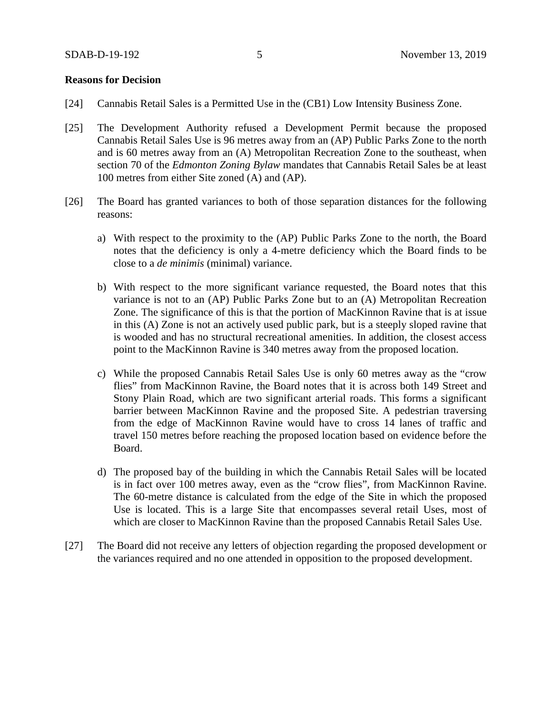### **Reasons for Decision**

- [24] Cannabis Retail Sales is a Permitted Use in the (CB1) Low Intensity Business Zone.
- [25] The Development Authority refused a Development Permit because the proposed Cannabis Retail Sales Use is 96 metres away from an (AP) Public Parks Zone to the north and is 60 metres away from an (A) Metropolitan Recreation Zone to the southeast, when section 70 of the *Edmonton Zoning Bylaw* mandates that Cannabis Retail Sales be at least 100 metres from either Site zoned (A) and (AP).
- [26] The Board has granted variances to both of those separation distances for the following reasons:
	- a) With respect to the proximity to the (AP) Public Parks Zone to the north, the Board notes that the deficiency is only a 4-metre deficiency which the Board finds to be close to a *de minimis* (minimal) variance.
	- b) With respect to the more significant variance requested, the Board notes that this variance is not to an (AP) Public Parks Zone but to an (A) Metropolitan Recreation Zone. The significance of this is that the portion of MacKinnon Ravine that is at issue in this (A) Zone is not an actively used public park, but is a steeply sloped ravine that is wooded and has no structural recreational amenities. In addition, the closest access point to the MacKinnon Ravine is 340 metres away from the proposed location.
	- c) While the proposed Cannabis Retail Sales Use is only 60 metres away as the "crow flies" from MacKinnon Ravine, the Board notes that it is across both 149 Street and Stony Plain Road, which are two significant arterial roads. This forms a significant barrier between MacKinnon Ravine and the proposed Site. A pedestrian traversing from the edge of MacKinnon Ravine would have to cross 14 lanes of traffic and travel 150 metres before reaching the proposed location based on evidence before the Board.
	- d) The proposed bay of the building in which the Cannabis Retail Sales will be located is in fact over 100 metres away, even as the "crow flies", from MacKinnon Ravine. The 60-metre distance is calculated from the edge of the Site in which the proposed Use is located. This is a large Site that encompasses several retail Uses, most of which are closer to MacKinnon Ravine than the proposed Cannabis Retail Sales Use.
- [27] The Board did not receive any letters of objection regarding the proposed development or the variances required and no one attended in opposition to the proposed development.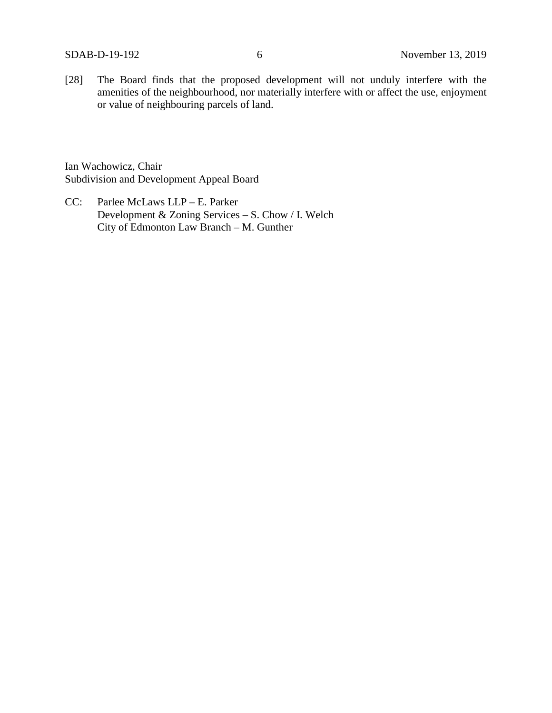[28] The Board finds that the proposed development will not unduly interfere with the amenities of the neighbourhood, nor materially interfere with or affect the use, enjoyment or value of neighbouring parcels of land.

Ian Wachowicz, Chair Subdivision and Development Appeal Board

CC: Parlee McLaws LLP – E. Parker Development & Zoning Services – S. Chow / I. Welch City of Edmonton Law Branch – M. Gunther